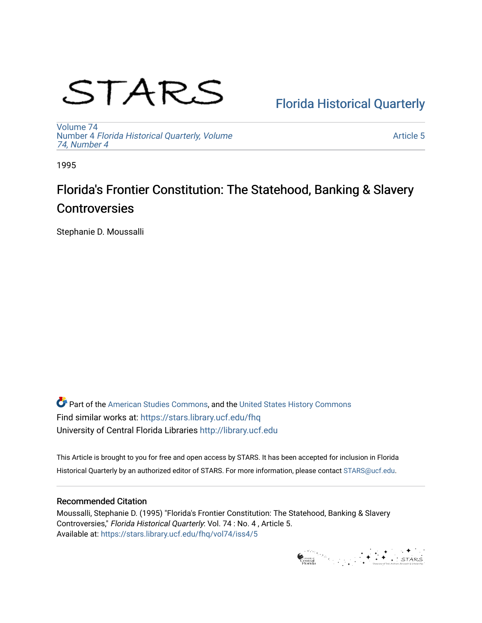# STARS

# [Florida Historical Quarterly](https://stars.library.ucf.edu/fhq)

[Volume 74](https://stars.library.ucf.edu/fhq/vol74) Number 4 [Florida Historical Quarterly, Volume](https://stars.library.ucf.edu/fhq/vol74/iss4)  [74, Number 4](https://stars.library.ucf.edu/fhq/vol74/iss4)

[Article 5](https://stars.library.ucf.edu/fhq/vol74/iss4/5) 

1995

# Florida's Frontier Constitution: The Statehood, Banking & Slavery **Controversies**

Stephanie D. Moussalli

**C** Part of the [American Studies Commons](http://network.bepress.com/hgg/discipline/439?utm_source=stars.library.ucf.edu%2Ffhq%2Fvol74%2Fiss4%2F5&utm_medium=PDF&utm_campaign=PDFCoverPages), and the United States History Commons Find similar works at: <https://stars.library.ucf.edu/fhq> University of Central Florida Libraries [http://library.ucf.edu](http://library.ucf.edu/) 

This Article is brought to you for free and open access by STARS. It has been accepted for inclusion in Florida Historical Quarterly by an authorized editor of STARS. For more information, please contact [STARS@ucf.edu.](mailto:STARS@ucf.edu)

## Recommended Citation

Moussalli, Stephanie D. (1995) "Florida's Frontier Constitution: The Statehood, Banking & Slavery Controversies," Florida Historical Quarterly: Vol. 74 : No. 4 , Article 5. Available at: [https://stars.library.ucf.edu/fhq/vol74/iss4/5](https://stars.library.ucf.edu/fhq/vol74/iss4/5?utm_source=stars.library.ucf.edu%2Ffhq%2Fvol74%2Fiss4%2F5&utm_medium=PDF&utm_campaign=PDFCoverPages) 

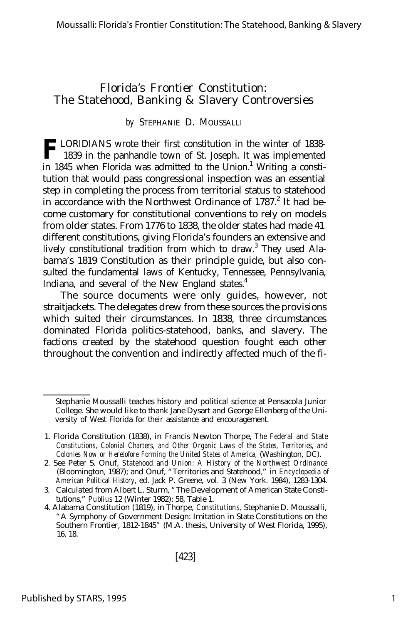## Florida's Frontier Constitution: The Statehood, Banking & Slavery Controversies

### *by* STEPHANIE D. MOUSSALLI

**F** LORIDIANS wrote their first constitution in the winter of 1838-1839 in the panhandle town of St. Joseph. It was implemented 1839 in the panhandle town of St. Joseph. It was implemented in 1845 when Florida was admitted to the Union.<sup>1</sup> Writing a constitution that would pass congressional inspection was an essential step in completing the process from territorial status to statehood in accordance with the Northwest Ordinance of 1787.<sup>2</sup> It had become customary for constitutional conventions to rely on models from older states. From 1776 to 1838, the older states had made 41 different constitutions, giving Florida's founders an extensive and lively constitutional tradition from which to draw.<sup>3</sup> They used Alabama's 1819 Constitution as their principle guide, but also consulted the fundamental laws of Kentucky, Tennessee, Pennsylvania, Indiana, and several of the New England states.<sup>4</sup>

The source documents were only guides, however, not straitjackets. The delegates drew from these sources the provisions which suited their circumstances. In 1838, three circumstances dominated Florida politics-statehood, banks, and slavery. The factions created by the statehood question fought each other throughout the convention and indirectly affected much of the fi-

Stephanie Moussalli teaches history and political science at Pensacola Junior College. She would like to thank Jane Dysart and George Ellenberg of the University of West Florida for their assistance and encouragement.

<sup>1.</sup> Florida Constitution (1838), in Francis Newton Thorpe, *The Federal and State Constitutions, Colonial Charters, and Other Organic Laws of the States, Territories, and Colonies Now or Heretofore Forming the United States of America,* (Washington, DC).

<sup>2.</sup> See Peter S. Onuf, *Statehood and Union: A History of the Northwest Ordinance* (Bloomington, 1987); and Onuf, "Territories and Statehood," in *Encyclopedia of American Political History,* ed. Jack P. Greene, vol. 3 (New York. 1984), 1283-1304.

<sup>3.</sup> Calculated from Albert L. Sturm, "The Development of American State Constitutions," *Publius* 12 (Winter 1982): 58, Table 1.

<sup>4.</sup> Alabama Constitution (1819), in Thorpe, *Constitutions,* Stephanie D. Moussalli, "A Symphony of Government Design: Imitation in State Constitutions on the Southern Frontier, 1812-1845" (M.A. thesis, University of West Florida, 1995), 16, 18.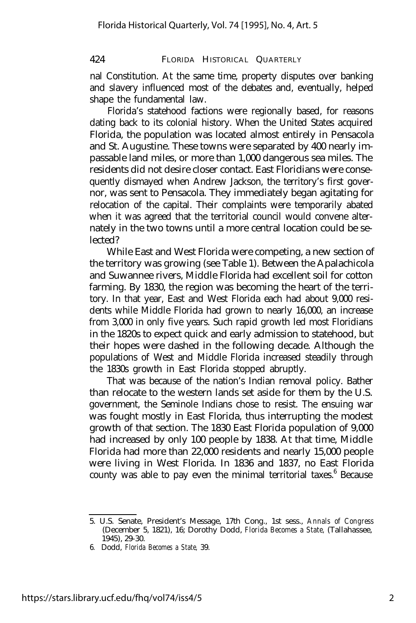nal Constitution. At the same time, property disputes over banking and slavery influenced most of the debates and, eventually, helped shape the fundamental law.

Florida's statehood factions were regionally based, for reasons dating back to its colonial history. When the United States acquired Florida, the population was located almost entirely in Pensacola and St. Augustine. These towns were separated by 400 nearly impassable land miles, or more than 1,000 dangerous sea miles. The residents did not desire closer contact. East Floridians were consequently dismayed when Andrew Jackson, the territory's first governor, was sent to Pensacola. They immediately began agitating for relocation of the capital. Their complaints were temporarily abated when it was agreed that the territorial council would convene alternately in the two towns until a more central location could be selected?

While East and West Florida were competing, a new section of the territory was growing (see Table 1). Between the Apalachicola and Suwannee rivers, Middle Florida had excellent soil for cotton farming. By 1830, the region was becoming the heart of the territory. In that year, East and West Florida each had about 9,000 residents while Middle Florida had grown to nearly 16,000, an increase from 3,000 in only five years. Such rapid growth led most Floridians in the 1820s to expect quick and early admission to statehood, but their hopes were dashed in the following decade. Although the populations of West and Middle Florida increased steadily through the 1830s growth in East Florida stopped abruptly.

That was because of the nation's Indian removal policy. Bather than relocate to the western lands set aside for them by the U.S. government, the Seminole Indians chose to resist. The ensuing war was fought mostly in East Florida, thus interrupting the modest growth of that section. The 1830 East Florida population of 9,000 had increased by only 100 people by 1838. At that time, Middle Florida had more than 22,000 residents and nearly 15,000 people were living in West Florida. In 1836 and 1837, no East Florida county was able to pay even the minimal territorial taxes.<sup>6</sup> Because

<sup>5.</sup> U.S. Senate, President's Message, 17th Cong., 1st sess., *Annals of Congress* (December 5, 1821), 16; Dorothy Dodd, *Florida Becomes a State,* (Tallahassee, 1945), 29-30.

<sup>6.</sup> Dodd, *Florida Becomes a State,* 39.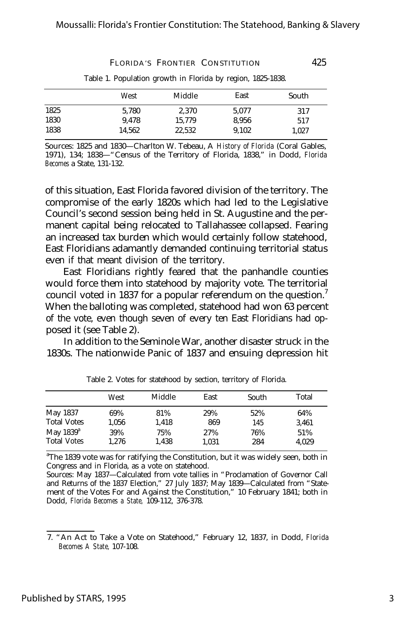425

FLORIDA'S FRONTIER CONSTITUTION

|      | West   | Middle | East  | South |
|------|--------|--------|-------|-------|
| 1825 | 5.780  | 2.370  | 5.077 | 317   |
| 1830 | 9.478  | 15.779 | 8.956 | 517   |
| 1838 | 14.562 | 22.532 | 9.102 | 1.027 |

Table 1. Population growth in Florida by region, 1825-1838.

Sources: 1825 and 1830— Charlton W. Tebeau, A *History of Florida* (Coral Gables, 1971), 134; 1838— "Census of the Territory of Florida, 1838," in Dodd, *Florida Becomes* a State, 131-132.

of this situation, East Florida favored division of the territory. The compromise of the early 1820s which had led to the Legislative Council's second session being held in St. Augustine and the permanent capital being relocated to Tallahassee collapsed. Fearing an increased tax burden which would certainly follow statehood, East Floridians adamantly demanded continuing territorial status even if that meant division of the territory.

East Floridians rightly feared that the panhandle counties would force them into statehood by majority vote. The territorial council voted in 1837 for a popular referendum on the question.<sup>7</sup> When the balloting was completed, statehood had won 63 percent of the vote, even though seven of every ten East Floridians had opposed it (see Table 2).

In addition to the Seminole War, another disaster struck in the 1830s. The nationwide Panic of 1837 and ensuing depression hit

|                                    | West         | Middle       | East         | South      | Total        |
|------------------------------------|--------------|--------------|--------------|------------|--------------|
| May 1837                           | 69%          | 81%          | 29%          | 52%        | 64%          |
| <b>Total Votes</b>                 | 1.056        | 1.418        | 869          | 145        | 3.461        |
| May $1839^a$<br><b>Total Votes</b> | 39%<br>1.276 | 75%<br>1.438 | 27%<br>1.031 | 76%<br>284 | 51%<br>4.029 |

Table 2. Votes for statehood by section, territory of Florida.

<sup>a</sup>The 1839 vote was for ratifying the Constitution, but it was widely seen, both in Congress and in Florida, as a vote on statehood.

Sources: May 1837— Calculated from vote tallies in "Proclamation of Governor Call and Returns of the 1837 Election," 27 July 1837; May 1839— Calculated from "Statement of the Votes For and Against the Constitution," 10 February 1841; both in Dodd, *Florida Becomes a State,* 109-112, 376-378.

<sup>7. &</sup>quot;An Act to Take a Vote on Statehood," February 12, 1837, in Dodd, *Florida Becomes A State,* 107-108.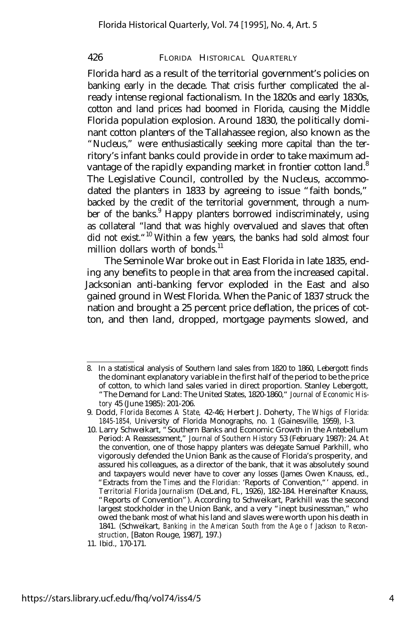Florida hard as a result of the territorial government's policies on banking early in the decade. That crisis further complicated the already intense regional factionalism. In the 1820s and early 1830s, cotton and land prices had boomed in Florida, causing the Middle Florida population explosion. Around 1830, the politically dominant cotton planters of the Tallahassee region, also known as the "Nucleus," were enthusiastically seeking more capital than the territory's infant banks could provide in order to take maximum advantage of the rapidly expanding market in frontier cotton land.<sup>8</sup> The Legislative Council, controlled by the Nucleus, accommodated the planters in 1833 by agreeing to issue "faith bonds," backed by the credit of the territorial government, through a number of the banks.<sup>9</sup> Happy planters borrowed indiscriminately, using as collateral "land that was highly overvalued and slaves that often did not exist."<sup>10</sup> Within a few years, the banks had sold almost four million dollars worth of bonds.<sup>11</sup>

The Seminole War broke out in East Florida in late 1835, ending any benefits to people in that area from the increased capital. Jacksonian anti-banking fervor exploded in the East and also gained ground in West Florida. When the Panic of 1837 struck the nation and brought a 25 percent price deflation, the prices of cotton, and then land, dropped, mortgage payments slowed, and

<sup>8.</sup> In a statistical analysis of Southern land sales from 1820 to 1860, Lebergott finds the dominant explanatory variable in the first half of the period to be the price of cotton, to which land sales varied in direct proportion. Stanley Lebergott, "The Demand for Land: The United States, 1820-1860," *Journal of Economic History* 45 (June 1985): 201-206.

<sup>9.</sup> Dodd, *Florida Becomes A State,* 42-46; Herbert J. Doherty, *The Whigs of Florida: 1845-1854,* University of Florida Monographs, no. 1 (Gainesville, 1959), l-3.

<sup>10.</sup> Larry Schweikart, "Southern Banks and Economic Growth in the Antebellum Period: A Reassessment," *Journal of Southern History* 53 (February 1987): 24. At the convention, one of those happy planters was delegate Samuel Parkhill, who vigorously defended the Union Bank as the cause of Florida's prosperity, and assured his colleagues, as a director of the bank, that it was absolutely sound and taxpayers would never have to cover any losses (James Owen Knauss, ed., "Extracts from the *Times* and the *Floridian:* 'Reports of Convention,"' append. in *Territorial Florida Journalism* (DeLand, FL, 1926), 182-184. Hereinafter Knauss, "Reports of Convention"). According to Schweikart, Parkhill was the second largest stockholder in the Union Bank, and a very "inept businessman," who owed the bank most of what his land and slaves were worth upon his death in 1841. (Schweikart, *Banking in the American South from the Age o f Jackson to Reconstruction,* [Baton Rouge, 1987], 197.)

<sup>11.</sup> Ibid., 170-171.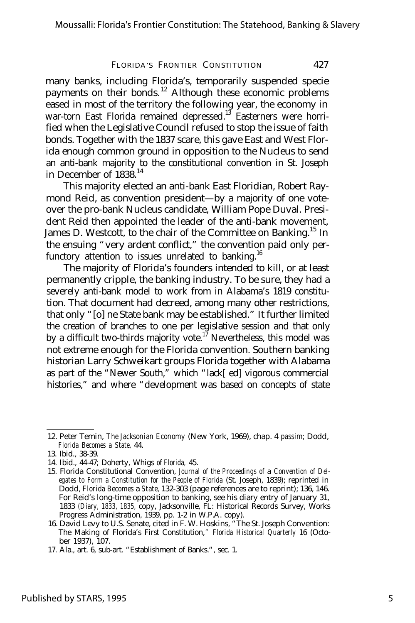many banks, including Florida's, temporarily suspended specie payments on their bonds.<sup>12</sup> Although these economic problems eased in most of the territory the following year, the economy in war-torn East Florida remained depressed.<sup>13</sup> Easterners were horrified when the Legislative Council refused to stop the issue of faith bonds. Together with the 1837 scare, this gave East and West Florida enough common ground in opposition to the Nucleus to send an anti-bank majority to the constitutional convention in St. Joseph in December of  $1838.<sup>14</sup>$ 

This majority elected an anti-bank East Floridian, Robert Raymond Reid, as convention president— by a majority of one voteover the pro-bank Nucleus candidate, William Pope Duval. President Reid then appointed the leader of the anti-bank movement, James D. Westcott, to the chair of the Committee on Banking.<sup>15</sup> In the ensuing "very ardent conflict," the convention paid only perfunctory attention to issues unrelated to banking.<sup>16</sup>

The majority of Florida's founders intended to kill, or at least permanently cripple, the banking industry. To be sure, they had a severely anti-bank model to work from in Alabama's 1819 constitution. That document had decreed, among many other restrictions, that only "[o] ne State bank may be established." It further limited the creation of branches to one per legislative session and that only by a difficult two-thirds majority vote.<sup>17</sup> Nevertheless, this model was not extreme enough for the Florida convention. Southern banking historian Larry Schweikart groups Florida together with Alabama as part of the "Newer South," which "lack[ ed] vigorous commercial histories," and where "development was based on concepts of state

<sup>12.</sup> Peter Temin, *The Jacksonian Economy* (New York, 1969), chap. 4 *passim;* Dodd, *Florida Becomes a State,* 44.

<sup>13.</sup> Ibid., 38-39.

<sup>14.</sup> Ibid., 44-47; Doherty, Whigs *of Florida,* 45.

<sup>15.</sup> Florida Constitutional Convention, *Journal of the Proceedings of* a *Convention of Delegates to Form a Constitution for the People of Florida* (St. Joseph, 1839); reprinted in Dodd, *Florida Becomes* a *State,* 132-303 (page references are to reprint); 136, 146. For Reid's long-time opposition to banking, see his diary entry of January 31, 1833 *(Diary, 1833, 1835,* copy, Jacksonville, FL: Historical Records Survey, Works Progress Administration, 1939, pp. 1-2 in W.P.A. copy).

<sup>16.</sup> David Levy to U.S. Senate, cited in F. W. Hoskins, "The St. Joseph Convention: The Making of Florida's First Constitution,*" Florida Historical Quarterly* 16 (October 1937), 107.

<sup>17.</sup> Ala., art. 6, sub-art. "Establishment of Banks.", sec. 1.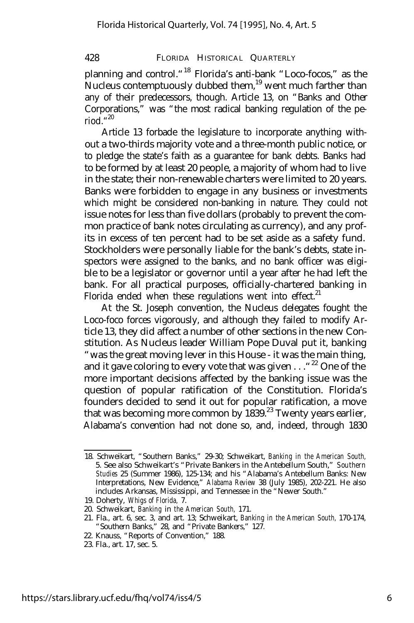planning and control."<sup>18</sup> Florida's anti-bank "Loco-focos," as the Nucleus contemptuously dubbed them, $19$  went much farther than any of their predecessors, though. Article 13, on "Banks and Other Corporations," was "the most radical banking regulation of the period." 20

Article 13 forbade the legislature to incorporate anything without a two-thirds majority vote and a three-month public notice, or to pledge the state's faith as a guarantee for bank debts. Banks had to be formed by at least 20 people, a majority of whom had to live in the state; their non-renewable charters were limited to 20 years. Banks were forbidden to engage in any business or investments which might be considered non-banking in nature. They could not issue notes for less than five dollars (probably to prevent the common practice of bank notes circulating as currency), and any profits in excess of ten percent had to be set aside as a safety fund. Stockholders were personally liable for the bank's debts, state inspectors were assigned to the banks, and no bank officer was eligible to be a legislator or governor until a year after he had left the bank. For all practical purposes, officially-chartered banking in Florida ended when these regulations went into effect. $21$ 

At the St. Joseph convention, the Nucleus delegates fought the Loco-foco forces vigorously, and although they failed to modify Article 13, they did affect a number of other sections in the new Constitution. As Nucleus leader William Pope Duval put it, banking "was the great moving lever in this House - it was the main thing, and it gave coloring to every vote that was given  $\dots$   $22$  One of the more important decisions affected by the banking issue was the question of popular ratification of the Constitution. Florida's founders decided to send it out for popular ratification, a move that was becoming more common by  $1839<sup>23</sup>$  Twenty years earlier, Alabama's convention had not done so, and, indeed, through 1830

- 22. Knauss, "Reports of Convention," 188.
- 23. Fla., art. 17, sec. 5.

<sup>18.</sup> Schweikart, "Southern Banks," 29-30; Schweikart, *Banking in the American South,* 5. See also Schweikart's "Private Bankers in the Antebellum South," *Southern Studies* 25 (Summer 1986), 125-134; and his "Alabama's Antebellum Banks: New Interpretations, New Evidence," *Alabama Review* 38 (July 1985), 202-221. He also includes Arkansas, Mississippi, and Tennessee in the "Newer South."

<sup>19.</sup> Doherty, *Whigs of Florida,* 7.

<sup>20.</sup> Schweikart, *Banking* in *the American South,* 171.

<sup>21.</sup> Fla., art. 6, sec. 3, and art. 13; Schweikart, *Banking in the American South,* 170-174, "Southern Banks," 28, and "Private Bankers," 127.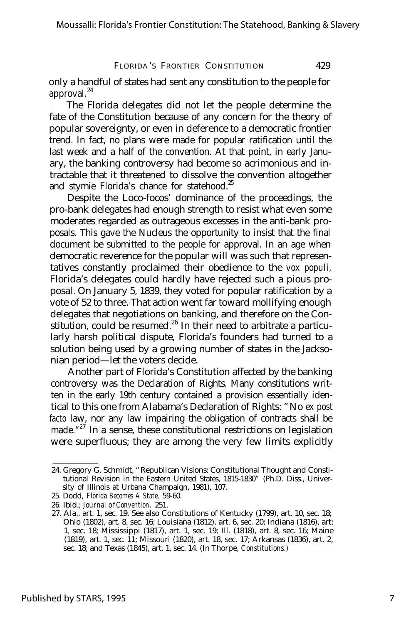only a handful of states had sent any constitution to the people for approval.<sup>24</sup>

The Florida delegates did not let the people determine the fate of the Constitution because of any concern for the theory of popular sovereignty, or even in deference to a democratic frontier trend. In fact, no plans were made for popular ratification until the last week and a half of the convention. At that point, in early January, the banking controversy had become so acrimonious and intractable that it threatened to dissolve the convention altogether and stymie Florida's chance for statehood.<sup>25</sup>

Despite the Loco-focos' dominance of the proceedings, the pro-bank delegates had enough strength to resist what even some moderates regarded as outrageous excesses in the anti-bank proposals. This gave the Nucleus the opportunity to insist that the final document be submitted to the people for approval. In an age when democratic reverence for the popular will was such that representatives constantly proclaimed their obedience to the *vox populi,* Florida's delegates could hardly have rejected such a pious proposal. On January 5, 1839, they voted for popular ratification by a vote of 52 to three. That action went far toward mollifying enough delegates that negotiations on banking, and therefore on the Constitution, could be resumed.<sup>26</sup> In their need to arbitrate a particularly harsh political dispute, Florida's founders had turned to a solution being used by a growing number of states in the Jacksonian period— let the voters decide.

Another part of Florida's Constitution affected by the banking controversy was the Declaration of Rights. Many constitutions written in the early 19th century contained a provision essentially identical to this one from Alabama's Declaration of Rights: "No *ex post facto* law, nor any law impairing the obligation of contracts shall be made.<sup>"27</sup> In a sense, these constitutional restrictions on legislation were superfluous; they are among the very few limits explicitly

<sup>24.</sup> Gregory G. Schmidt, "Republican Visions: Constitutional Thought and Constitutional Revision in the Eastern United States, 1815-1830" (Ph.D. Diss., University of Illinois at Urbana Champaign, 1981), 107.

<sup>25.</sup> Dodd, *Florida Becomes A State,* 59-60.

<sup>26.</sup> Ibid.; *Journal o fConvention,* 251.

<sup>27.</sup> Ala.. art. 1, sec. 19. See also Constitutions of Kentucky (1799), art. 10, sec. 18; Ohio (1802), art. 8, sec. 16; Louisiana (1812), art. 6, sec. 20; Indiana (1816), art: 1, sec. 18; Mississippi (1817), art. 1, sec. 19; Ill. (1818), art. 8, sec. 16; Maine (1819), art. 1, sec. 11; Missouri (1820), art. 18, sec. 17; Arkansas (1836), art. 2, sec. 18; and Texas (1845), art. 1, sec. 14. (In Thorpe, *Constitutions.)*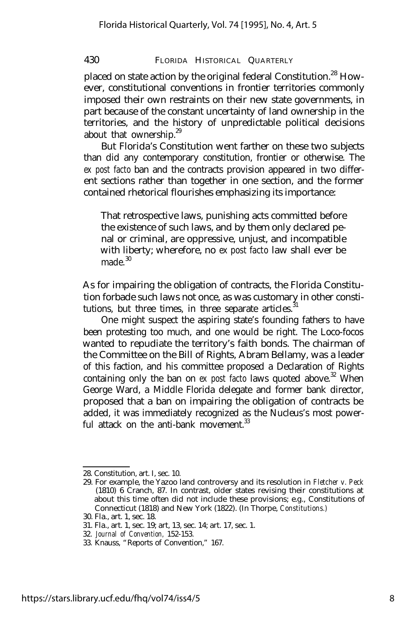placed on state action by the original federal Constitution.<sup>28</sup> However, constitutional conventions in frontier territories commonly imposed their own restraints on their new state governments, in part because of the constant uncertainty of land ownership in the territories, and the history of unpredictable political decisions about that ownership. $29$ 

But Florida's Constitution went farther on these two subjects than did any contemporary constitution, frontier or otherwise. The *ex post facto* ban and the contracts provision appeared in two different sections rather than together in one section, and the former contained rhetorical flourishes emphasizing its importance:

That retrospective laws, punishing acts committed before the existence of such laws, and by them only declared penal or criminal, are oppressive, unjust, and incompatible with liberty; wherefore, no *ex post facto* law shall ever be made $30$ 

As for impairing the obligation of contracts, the Florida Constitution forbade such laws not once, as was customary in other constitutions, but three times, in three separate articles.<sup>3</sup>

One might suspect the aspiring state's founding fathers to have been protesting too much, and one would be right. The Loco-focos wanted to repudiate the territory's faith bonds. The chairman of the Committee on the Bill of Rights, Abram Bellamy, was a leader of this faction, and his committee proposed a Declaration of Rights containing only the ban on *ex post facto* laws quoted above.<sup>32</sup> When George Ward, a Middle Florida delegate and former bank director, proposed that a ban on impairing the obligation of contracts be added, it was immediately recognized as the Nucleus's most powerful attack on the anti-bank movement  $33$ 

<sup>28.</sup> Constitution, art. I, sec. 10.

<sup>29.</sup> For example, the Yazoo land controversy and its resolution in *Fletcher v. Peck* (1810) 6 Cranch, 87. In contrast, older states revising their constitutions at about this time often did not include these provisions; e.g., Constitutions of Connecticut (1818) and New York (1822). (In Thorpe, *Constitutions.)*

<sup>30.</sup> Fla., art. 1, sec. 18.

<sup>31.</sup> Fla., art. 1, sec. 19; art, 13, sec. 14; art. 17, sec. 1.

<sup>32.</sup> *Journal of Convention,* 152-153.

<sup>33.</sup> Knauss, "Reports of Convention," 167.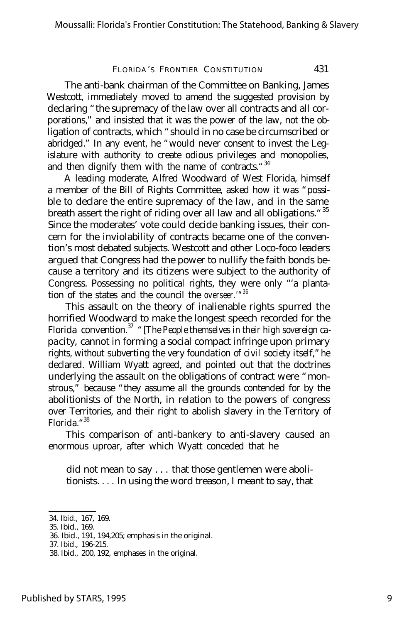The anti-bank chairman of the Committee on Banking, James Westcott, immediately moved to amend the suggested provision by declaring "the supremacy of the law over all contracts and all corporations," and insisted that it was the power of the law, not the obligation of contracts, which "should in no case be circumscribed or abridged." In any event, he "would never consent to invest the Legislature with authority to create odious privileges and monopolies, and then dignify them with the name of contracts. "34

A leading moderate, Alfred Woodward of West Florida, himself a member of the Bill of Rights Committee, asked how it was "possible to declare the entire supremacy of the law, and in the same breath assert the right of riding over all law and all obligations."<sup>35</sup> Since the moderates' vote could decide banking issues, their concern for the inviolability of contracts became one of the convention's most debated subjects. Westcott and other Loco-foco leaders argued that Congress had the power to nullify the faith bonds because a territory and its citizens were subject to the authority of Congress. Possessing no political rights, they were only "'a plantation of the states and the council the *overseer.'" 36*

This assault on the theory of inalienable rights spurred the horrified Woodward to make the longest speech recorded for the Florida convention.<sup>37</sup> "*[The People themselves in their high sovereign capacity,* cannot in forming a social compact infringe upon primary rights, without *subverting the very foundation of civil society itself,"* he declared. William Wyatt agreed, and pointed out that the doctrines underlying the assault on the obligations of contract were "monstrous," because "they assume all the grounds contended for by the abolitionists of the North, in relation to the powers of congress over Territories, and their right to abolish slavery in the Territory of Florida." 38

This comparison of anti-bankery to anti-slavery caused an enormous uproar, after which Wyatt conceded that he

did not mean to say . . . that those gentlemen were abolitionists. . . . In using the word treason, I meant to say, that

<sup>34.</sup> Ibid., 167, 169.

<sup>35.</sup> Ibid., 169.

<sup>36.</sup> Ibid., 191, 194,205; emphasis in the original.

<sup>37.</sup> Ibid., 196-215.

<sup>38.</sup> Ibid., 200, 192, emphases in the original.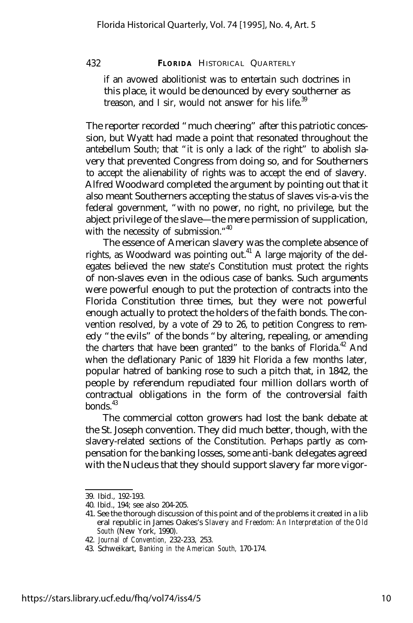if an avowed abolitionist was to entertain such doctrines in this place, it would be denounced by every southerner as treason, and I sir, would not answer for his life.<sup>39</sup>

The reporter recorded "much cheering" after this patriotic concession, but Wyatt had made a point that resonated throughout the antebellum South; that "it is only a lack of the right" to abolish slavery that prevented Congress from doing so, and for Southerners to accept the alienability of rights was to accept the end of slavery. Alfred Woodward completed the argument by pointing out that it also meant Southerners accepting the status of slaves vis-a-vis the federal government, "with no power, no right, no privilege, but the abject privilege of the slave— the mere permission of supplication, with the necessity of submission."<sup>40</sup>

The essence of American slavery was the complete absence of rights, as Woodward was pointing out.<sup>41</sup> A large majority of the delegates believed the new state's Constitution must protect the rights of non-slaves even in the odious case of banks. Such arguments were powerful enough to put the protection of contracts into the Florida Constitution three times, but they were not powerful enough actually to protect the holders of the faith bonds. The convention resolved, by a vote of 29 to 26, to petition Congress to remedy "the evils" of the bonds "by altering, repealing, or amending the charters that have been granted" to the banks of Florida.<sup>42</sup> And when the deflationary Panic of 1839 hit Florida a few months later, popular hatred of banking rose to such a pitch that, in 1842, the people by referendum repudiated four million dollars worth of contractual obligations in the form of the controversial faith  $b$ onds<sup> $43$ </sup>

The commercial cotton growers had lost the bank debate at the St. Joseph convention. They did much better, though, with the slavery-related sections of the Constitution. Perhaps partly as compensation for the banking losses, some anti-bank delegates agreed with the Nucleus that they should support slavery far more vigor-

<sup>39.</sup> Ibid., 192-193.

<sup>40.</sup> Ibid., 194; see also 204-205.

<sup>41.</sup> See the thorough discussion of this point and of the problems it created in a lib eral republic in James Oakes's *Slavery and Freedom: An Interpretation of the Old South* (New York, 1990).

<sup>42.</sup> *Journal of Convention,* 232-233, 253.

<sup>43.</sup> Schweikart, *Banking in the American South,* 170-174.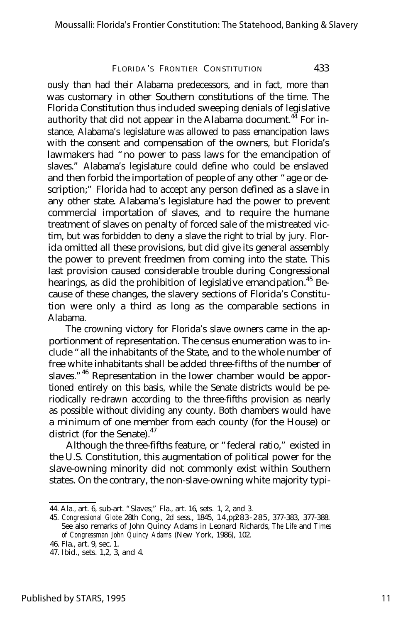ously than had their Alabama predecessors, and in fact, more than was customary in other Southern constitutions of the time. The Florida Constitution thus included sweeping denials of legislative authority that did not appear in the Alabama document.<sup>44</sup> For instance, Alabama's legislature was allowed to pass emancipation laws with the consent and compensation of the owners, but Florida's lawmakers had "no power to pass laws for the emancipation of slaves." Alabama's legislature could define who could be enslaved and then forbid the importation of people of any other "age or description;" Florida had to accept any person defined as a slave in any other state. Alabama's legislature had the power to prevent commercial importation of slaves, and to require the humane treatment of slaves on penalty of forced sale of the mistreated victim, but was forbidden to deny a slave the right to trial by jury. Florida omitted all these provisions, but did give its general assembly the power to prevent freedmen from coming into the state. This last provision caused considerable trouble during Congressional hearings, as did the prohibition of legislative emancipation.<sup>45</sup> Because of these changes, the slavery sections of Florida's Constitution were only a third as long as the comparable sections in Alabama.

The crowning victory for Florida's slave owners came in the apportionment of representation. The census enumeration was to include "all the inhabitants of the State, and to the whole number of free white inhabitants shall be added three-fifths of the number of slaves."<sup>46</sup> Representation in the lower chamber would be apportioned entirely on this basis, while the Senate districts would be periodically re-drawn according to the three-fifths provision as nearly as possible without dividing any county. Both chambers would have a minimum of one member from each county (for the House) or district (for the Senate). $47$ 

Although the three-fifths feature, or "federal ratio," existed in the U.S. Constitution, this augmentation of political power for the slave-owning minority did not commonly exist within Southern states. On the contrary, the non-slave-owning white majority typi-

<sup>44.</sup> Ala., art. 6, sub-art. "Slaves;" Fla., art. 16, sets. 1, 2, and 3.

<sup>45.</sup> *Congressional Globe* 28th Cong., 2d sess., 1845, 14, pp. 83-285, 377-383, 377-388. See also remarks of John Quincy Adams in Leonard Richards, *The Life* and *Times of Congressman John Quincy Adams* (New York, 1986), 102.

<sup>46.</sup> Fla., art. 9, sec. 1.

<sup>47.</sup> Ibid., sets. 1,2, 3, and 4.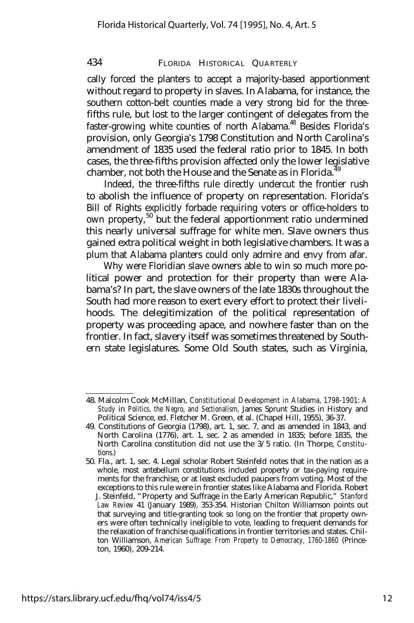cally forced the planters to accept a majority-based apportionment without regard to property in slaves. In Alabama, for instance, the southern cotton-belt counties made a very strong bid for the threefifths rule, but lost to the larger contingent of delegates from the faster-growing white counties of north Alabama.<sup>48</sup> Besides Florida's provision, only Georgia's 1798 Constitution and North Carolina's amendment of 1835 used the federal ratio prior to 1845. In both cases, the three-fifths provision affected only the lower legislative chamber, not both the House and the Senate as in Florida. $\frac{3}{4}$ 

Indeed, the three-fifths rule directly undercut the frontier rush to abolish the influence of property on representation. Florida's Bill of Rights explicitly forbade requiring voters or office-holders to own property,<sup>50</sup> but the federal apportionment ratio undermined this nearly universal suffrage for white men. Slave owners thus gained extra political weight in both legislative chambers. It was a plum that Alabama planters could only admire and envy from afar.

Why were Floridian slave owners able to win so much more political power and protection for their property than were Alabama's? In part, the slave owners of the late 1830s throughout the South had more reason to exert every effort to protect their livelihoods. The delegitimization of the political representation of property was proceeding apace, and nowhere faster than on the frontier. In fact, slavery itself was sometimes threatened by Southern state legislatures. Some Old South states, such as Virginia,

<sup>48.</sup> Malcolm Cook McMillan, *Constitutional Development in Alabama, 1798-1901: A Study* in *Politics, the Negro, and Sectionalism,* James Sprunt Studies in History and Political Science, ed. Fletcher M. Green, et al. (Chapel Hill, 1955), 36-37.

<sup>49.</sup> Constitutions of Georgia (1798), art. 1, sec. 7, and as amended in 1843, and North Carolina (1776), art. 1, sec. 2 as amended in 1835; before 1835, the North Carolina constitution did not use the 3/5 ratio. (In Thorpe, *Constitu*tions.)

<sup>50.</sup> Fla., art. 1, sec. 4. Legal scholar Robert Steinfeld notes that in the nation as a whole, most antebellum constitutions included property or tax-paying requirements for the franchise, or at least excluded paupers from voting. Most of the exceptions to this rule were in frontier states like Alabama and Florida. Robert J. Steinfeld, "Property and Suffrage in the Early American Republic," *Stanford Law Review* 41 (January 1989), 353-354. Historian Chilton Williamson points out that surveying and title-granting took so long on the frontier that property owners were often technically ineligible to vote, leading to frequent demands for the relaxation of franchise qualifications in frontier territories and states. Chilton Williamson, *American Suffrage: From Property to Democracy, 1760-1860* (Princeton, 1960), 209-214.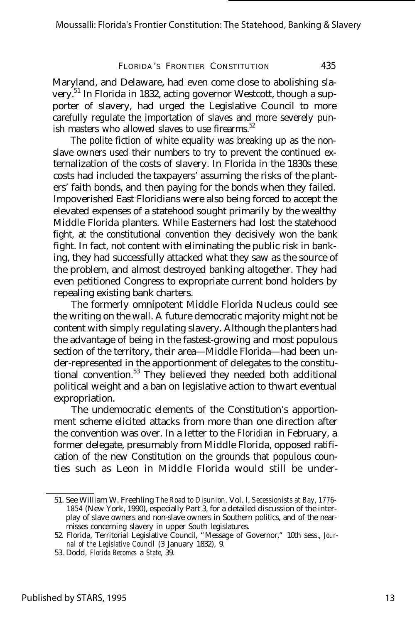Maryland, and Delaware, had even come close to abolishing slavery.<sup>51</sup> In Florida in 1832, acting governor Westcott, though a supporter of slavery, had urged the Legislative Council to more carefully regulate the importation of slaves and more severely punish masters who allowed slaves to use firearms.<sup>52</sup>

The polite fiction of white equality was breaking up as the nonslave owners used their numbers to try to prevent the continued externalization of the costs of slavery. In Florida in the 1830s these costs had included the taxpayers' assuming the risks of the planters' faith bonds, and then paying for the bonds when they failed. Impoverished East Floridians were also being forced to accept the elevated expenses of a statehood sought primarily by the wealthy Middle Florida planters. While Easterners had lost the statehood fight, at the constitutional convention they decisively won the bank fight. In fact, not content with eliminating the public risk in banking, they had successfully attacked what they saw as the source of the problem, and almost destroyed banking altogether. They had even petitioned Congress to expropriate current bond holders by repealing existing bank charters.

The formerly omnipotent Middle Florida Nucleus could see the writing on the wall. A future democratic majority might not be content with simply regulating slavery. Although the planters had the advantage of being in the fastest-growing and most populous section of the territory, their area— Middle Florida— had been under-represented in the apportionment of delegates to the constitutional convention.<sup>53</sup> They believed they needed both additional political weight and a ban on legislative action to thwart eventual expropriation.

The undemocratic elements of the Constitution's apportionment scheme elicited attacks from more than one direction after the convention was over. In a letter to the *Floridian* in February, a former delegate, presumably from Middle Florida, opposed ratification of the new Constitution on the grounds that populous counties such as Leon in Middle Florida would still be under-

<sup>51.</sup> See William W. Freehling *The Road to Disunion,* Vol. I, *Secessionists at Bay, 1776- 1854* (New York, 1990), especially Part 3, for a detailed discussion of the interplay of slave owners and non-slave owners in Southern politics, and of the nearmisses concerning slavery in upper South legislatures.

<sup>52.</sup> Florida, Territorial Legislative Council, "Message of Governor," 10th sess., *Journal of the Legislative Council* (3 January 1832), 9.

<sup>53.</sup> Dodd, *Florida Becomes* a *State,* 39.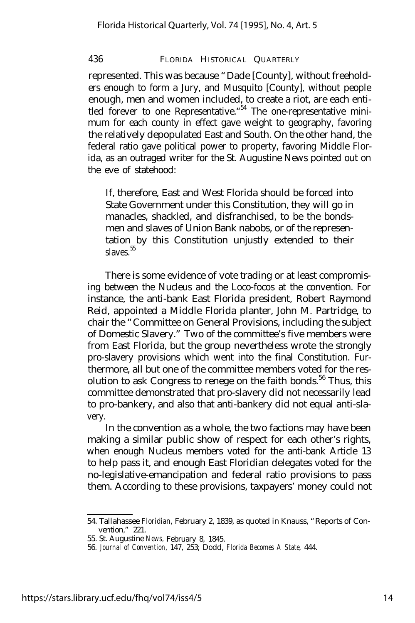represented. This was because "Dade [County], without freeholders enough to form a Jury, and Musquito [County], without people enough, men and women included, to create a riot, are each entitled forever to one Representative. "<sup>54</sup> The one-representative minimum for each county in effect gave weight to geography, favoring the relatively depopulated East and South. On the other hand, the federal ratio gave political power to property, favoring Middle Florida, as an outraged writer for the St. Augustine News pointed out on the eve of statehood:

If, therefore, East and West Florida should be forced into State Government under this Constitution, they will go in manacles, shackled, and disfranchised, to be the bondsmen and slaves of Union Bank nabobs, or of the representation by this Constitution unjustly extended to their  $slaves<sup>55</sup>$ 

There is some evidence of vote trading or at least compromising between the Nucleus and the Loco-focos at the convention. For instance, the anti-bank East Florida president, Robert Raymond Reid, appointed a Middle Florida planter, John M. Partridge, to chair the "Committee on General Provisions, including the subject of Domestic Slavery." Two of the committee's five members were from East Florida, but the group nevertheless wrote the strongly pro-slavery provisions which went into the final Constitution. Furthermore, all but one of the committee members voted for the resolution to ask Congress to renege on the faith bonds.<sup>56</sup> Thus, this committee demonstrated that pro-slavery did not necessarily lead to pro-bankery, and also that anti-bankery did not equal anti-slavery.

In the convention as a whole, the two factions may have been making a similar public show of respect for each other's rights, when enough Nucleus members voted for the anti-bank Article 13 to help pass it, and enough East Floridian delegates voted for the no-legislative-emancipation and federal ratio provisions to pass them. According to these provisions, taxpayers' money could not

<sup>54.</sup> Tallahassee *Floridian,* February 2, 1839, as quoted in Knauss, "Reports of Convention," 221.

<sup>55.</sup> St. Augustine *News,* February 8, 1845.

<sup>56.</sup> *Journal of Convention,* 147, 253; Dodd, *Florida Becomes A State,* 444.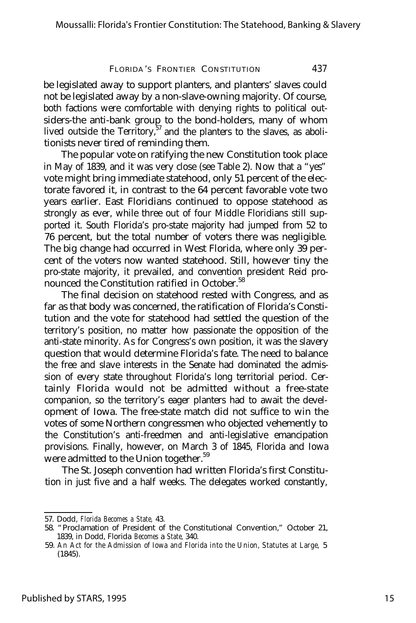be legislated away to support planters, and planters' slaves could not be legislated away by a non-slave-owning majority. Of course, both factions were comfortable with denying rights to political outsiders-the anti-bank group to the bond-holders, many of whom lived outside the Territory, $57$  and the planters to the slaves, as abolitionists never tired of reminding them.

The popular vote on ratifying the new Constitution took place in May of 1839, and it was very close (see Table 2). Now that a "yes" vote might bring immediate statehood, only 51 percent of the electorate favored it, in contrast to the 64 percent favorable vote two years earlier. East Floridians continued to oppose statehood as strongly as ever, while three out of four Middle Floridians still supported it. South Florida's pro-state majority had jumped from 52 to 76 percent, but the total number of voters there was negligible. The big change had occurred in West Florida, where only 39 percent of the voters now wanted statehood. Still, however tiny the pro-state majority, it prevailed, and convention president Reid pronounced the Constitution ratified in October.<sup>58</sup>

The final decision on statehood rested with Congress, and as far as that body was concerned, the ratification of Florida's Constitution and the vote for statehood had settled the question of the territory's position, no matter how passionate the opposition of the anti-state minority. As for Congress's own position, it was the slavery question that would determine Florida's fate. The need to balance the free and slave interests in the Senate had dominated the admission of every state throughout Florida's long territorial period. Certainly Florida would not be admitted without a free-state companion, so the territory's eager planters had to await the development of Iowa. The free-state match did not suffice to win the votes of some Northern congressmen who objected vehemently to the Constitution's anti-freedmen and anti-legislative emancipation provisions. Finally, however, on March 3 of 1845, Florida and Iowa were admitted to the Union together.<sup>59</sup>

The St. Joseph convention had written Florida's first Constitution in just five and a half weeks. The delegates worked constantly,

<sup>57.</sup> Dodd, *Florida Becomes a State,* 43.

<sup>58. &</sup>quot;Proclamation of President of the Constitutional Convention," October 21, 1839, in Dodd, Florida *Becomes* a *State,* 340.

<sup>59.</sup> *An Act for the Admission of Iowa and Florida into the Union, Statutes at Large,* 5 (1845).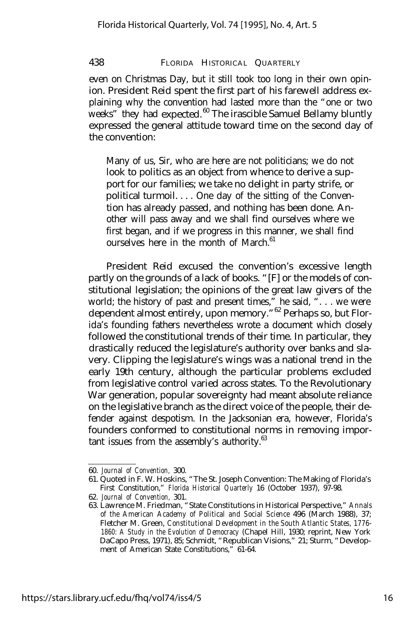even on Christmas Day, but it still took too long in their own opinion. President Reid spent the first part of his farewell address explaining why the convention had lasted more than the "one or two weeks" they had expected.<sup>60</sup> The irascible Samuel Bellamy bluntly expressed the general attitude toward time on the second day of the convention:

Many of us, Sir, who are here are not politicians; we do not look to politics as an object from whence to derive a support for our families; we take no delight in party strife, or political turmoil. . . . One day of the sitting of the Convention has already passed, and nothing has been done. Another will pass away and we shall find ourselves where we first began, and if we progress in this manner, we shall find ourselves here in the month of March. $61$ 

President Reid excused the convention's excessive length partly on the grounds of a lack of books. "[F] or the models of constitutional legislation; the opinions of the great law givers of the world; the history of past and present times," he said, " $\dots$  we were dependent almost entirely, upon memory."<sup>62</sup> Perhaps so, but Florida's founding fathers nevertheless wrote a document which closely followed the constitutional trends of their time. In particular, they drastically reduced the legislature's authority over banks and slavery. Clipping the legislature's wings was a national trend in the early 19th century, although the particular problems excluded from legislative control varied across states. To the Revolutionary War generation, popular sovereignty had meant absolute reliance on the legislative branch as the direct voice of the people, their defender against despotism. In the Jacksonian era, however, Florida's founders conformed to constitutional norms in removing important issues from the assembly's authority.<sup>63</sup>

<sup>60.</sup> *Journal of Convention,* 300.

<sup>61.</sup> Quoted in F. W. Hoskins, "The St. Joseph Convention: The Making of Florida's First Constitution," *Florida Historical Quarterly* 16 (October 1937), 97-98.

<sup>62.</sup> *Journal of Convention,* 301.

<sup>63.</sup> Lawrence M. Friedman, "State Constitutions in Historical Perspective," *Annals of the American Academy of Political and Social Science* 496 (March 1988), 37; Fletcher M. Green, *Constitutional Development in the South Atlantic States, 1776- 1860: A Study in the Evolution of Democracy* (Chapel Hill, 1930; reprint, New York DaCapo Press, 1971), 85; Schmidt, "Republican Visions," 21; Sturm, "Development of American State Constitutions," 61-64.